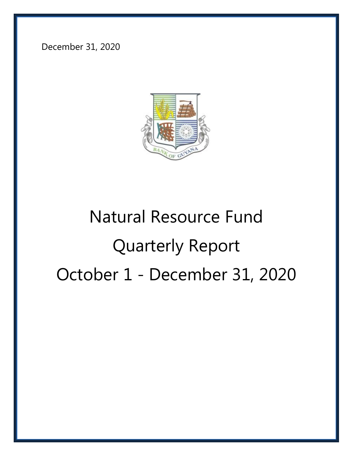December 31, 2020



# Natural Resource Fund Quarterly Report October 1 - December 31, 2020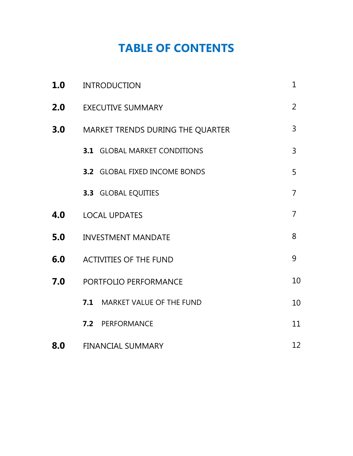## **TABLE OF CONTENTS**

| 1.0 | <b>INTRODUCTION</b>                  |                |  |
|-----|--------------------------------------|----------------|--|
| 2.0 | <b>EXECUTIVE SUMMARY</b>             |                |  |
| 3.0 | MARKET TRENDS DURING THE QUARTER     | $\overline{3}$ |  |
|     | <b>3.1 GLOBAL MARKET CONDITIONS</b>  | 3              |  |
|     | <b>3.2 GLOBAL FIXED INCOME BONDS</b> | 5              |  |
|     | <b>3.3 GLOBAL EQUITIES</b>           | $\overline{7}$ |  |
| 4.0 | <b>LOCAL UPDATES</b>                 | $\overline{7}$ |  |
| 5.0 | <b>INVESTMENT MANDATE</b>            | 8              |  |
| 6.0 | <b>ACTIVITIES OF THE FUND</b>        | 9              |  |
| 7.0 | <b>PORTFOLIO PERFORMANCE</b>         | 10             |  |
|     | 7.1 MARKET VALUE OF THE FUND         | 10             |  |
|     | 7.2 PERFORMANCE                      | 11             |  |
| 8.0 | <b>FINANCIAL SUMMARY</b>             | 12             |  |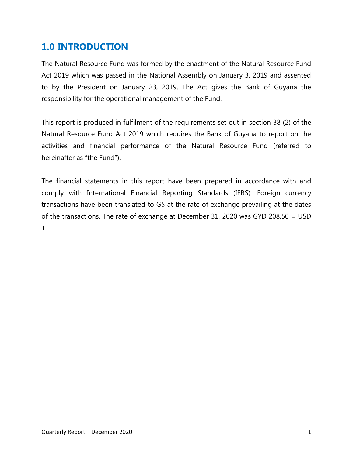#### **1.0 INTRODUCTION**

The Natural Resource Fund was formed by the enactment of the Natural Resource Fund Act 2019 which was passed in the National Assembly on January 3, 2019 and assented to by the President on January 23, 2019. The Act gives the Bank of Guyana the responsibility for the operational management of the Fund.

This report is produced in fulfilment of the requirements set out in section 38 (2) of the Natural Resource Fund Act 2019 which requires the Bank of Guyana to report on the activities and financial performance of the Natural Resource Fund (referred to hereinafter as "the Fund").

The financial statements in this report have been prepared in accordance with and comply with International Financial Reporting Standards (IFRS). Foreign currency transactions have been translated to G\$ at the rate of exchange prevailing at the dates of the transactions. The rate of exchange at December 31, 2020 was GYD 208.50 = USD 1.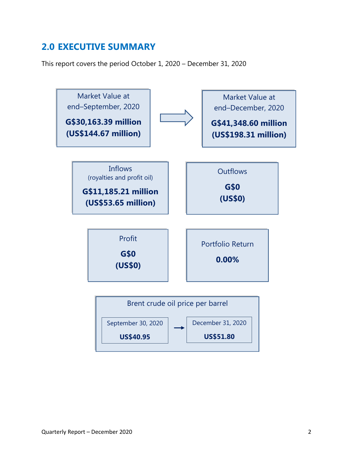## **2.0 EXECUTIVE SUMMARY**

This report covers the period October 1, 2020 – December 31, 2020

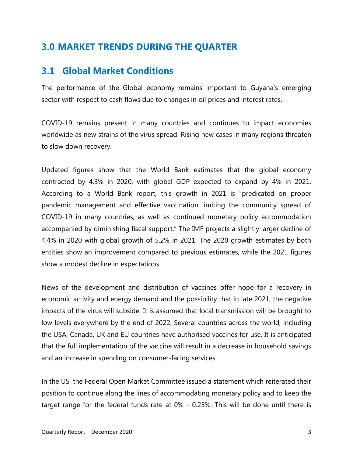#### **3.0 MARKET TRENDS DURING THE QUARTER**

#### **3.1 Global Market Conditions**

The performance of the Global economy remains important to Guyana's emerging sector with respect to cash flows due to changes in oil prices and interest rates.

COVID-19 remains present in many countries and continues to impact economies worldwide as new strains of the virus spread. Rising new cases in many regions threaten to slow down recovery.

Updated figures show that the World Bank estimates that the global economy contracted by 4.3% in 2020, with global GDP expected to expand by 4% in 2021. According to a World Bank report, this growth in 2021 is "predicated on proper pandemic management and effective vaccination limiting the community spread of COVID-19 in many countries, as well as continued monetary policy accommodation accompanied by diminishing fiscal support." The IMF projects a slightly larger decline of 4.4% in 2020 with global growth of 5.2% in 2021. The 2020 growth estimates by both entities show an improvement compared to previous estimates, while the 2021 figures show a modest decline in expectations.

News of the development and distribution of vaccines offer hope for a recovery in economic activity and energy demand and the possibility that in late 2021, the negative impacts of the virus will subside. It is assumed that local transmission will be brought to low levels everywhere by the end of 2022. Several countries across the world, including the USA, Canada, UK and EU countries have authorised vaccines for use. It is anticipated that the full implementation of the vaccine will result in a decrease in household savings and an increase in spending on consumer-facing services.

In the US, the Federal Open Market Committee issued a statement which reiterated their position to continue along the lines of accommodating monetary policy and to keep the target range for the federal funds rate at 0% - 0.25%. This will be done until there is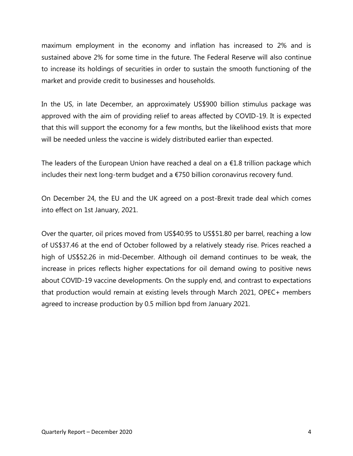maximum employment in the economy and inflation has increased to 2% and is sustained above 2% for some time in the future. The Federal Reserve will also continue to increase its holdings of securities in order to sustain the smooth functioning of the market and provide credit to businesses and households.

In the US, in late December, an approximately US\$900 billion stimulus package was approved with the aim of providing relief to areas affected by COVID-19. It is expected that this will support the economy for a few months, but the likelihood exists that more will be needed unless the vaccine is widely distributed earlier than expected.

The leaders of the European Union have reached a deal on a  $E1.8$  trillion package which includes their next long-term budget and a €750 billion coronavirus recovery fund.

On December 24, the EU and the UK agreed on a post-Brexit trade deal which comes into effect on 1st January, 2021.

Over the quarter, oil prices moved from US\$40.95 to US\$51.80 per barrel, reaching a low of US\$37.46 at the end of October followed by a relatively steady rise. Prices reached a high of US\$52.26 in mid-December. Although oil demand continues to be weak, the increase in prices reflects higher expectations for oil demand owing to positive news about COVID-19 vaccine developments. On the supply end, and contrast to expectations that production would remain at existing levels through March 2021, OPEC+ members agreed to increase production by 0.5 million bpd from January 2021.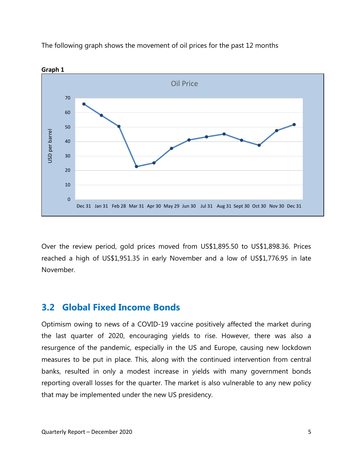



**Graph 1** 

Over the review period, gold prices moved from US\$1,895.50 to US\$1,898.36. Prices reached a high of US\$1,951.35 in early November and a low of US\$1,776.95 in late November.

#### **3.2 Global Fixed Income Bonds**

Optimism owing to news of a COVID-19 vaccine positively affected the market during the last quarter of 2020, encouraging yields to rise. However, there was also a resurgence of the pandemic, especially in the US and Europe, causing new lockdown measures to be put in place. This, along with the continued intervention from central banks, resulted in only a modest increase in yields with many government bonds reporting overall losses for the quarter. The market is also vulnerable to any new policy that may be implemented under the new US presidency.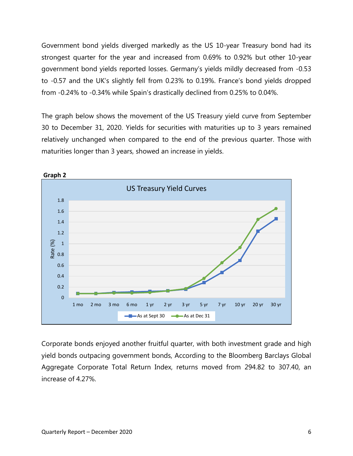Government bond yields diverged markedly as the US 10-year Treasury bond had its strongest quarter for the year and increased from 0.69% to 0.92% but other 10-year government bond yields reported losses. Germany's yields mildly decreased from -0.53 to -0.57 and the UK's slightly fell from 0.23% to 0.19%. France's bond yields dropped from -0.24% to -0.34% while Spain's drastically declined from 0.25% to 0.04%.

The graph below shows the movement of the US Treasury yield curve from September 30 to December 31, 2020. Yields for securities with maturities up to 3 years remained relatively unchanged when compared to the end of the previous quarter. Those with maturities longer than 3 years, showed an increase in yields.



Corporate bonds enjoyed another fruitful quarter, with both investment grade and high yield bonds outpacing government bonds, According to the Bloomberg Barclays Global Aggregate Corporate Total Return Index, returns moved from 294.82 to 307.40, an increase of 4.27%.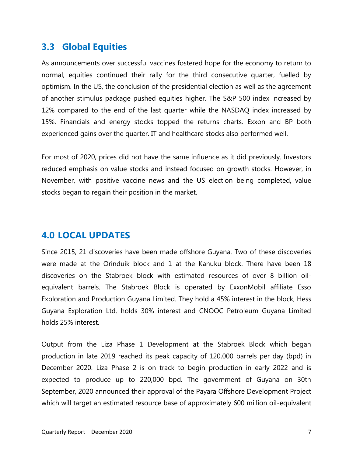#### **3.3 Global Equities**

As announcements over successful vaccines fostered hope for the economy to return to normal, equities continued their rally for the third consecutive quarter, fuelled by optimism. In the US, the conclusion of the presidential election as well as the agreement of another stimulus package pushed equities higher. The S&P 500 index increased by 12% compared to the end of the last quarter while the NASDAQ index increased by 15%. Financials and energy stocks topped the returns charts. Exxon and BP both experienced gains over the quarter. IT and healthcare stocks also performed well.

For most of 2020, prices did not have the same influence as it did previously. Investors reduced emphasis on value stocks and instead focused on growth stocks. However, in November, with positive vaccine news and the US election being completed, value stocks began to regain their position in the market.

#### **4.0 LOCAL UPDATES**

Since 2015, 21 discoveries have been made offshore Guyana. Two of these discoveries were made at the Orinduik block and 1 at the Kanuku block. There have been 18 discoveries on the Stabroek block with estimated resources of over 8 billion oilequivalent barrels. The Stabroek Block is operated by ExxonMobil affiliate Esso Exploration and Production Guyana Limited. They hold a 45% interest in the block, Hess Guyana Exploration Ltd. holds 30% interest and CNOOC Petroleum Guyana Limited holds 25% interest.

Output from the Liza Phase 1 Development at the Stabroek Block which began production in late 2019 reached its peak capacity of 120,000 barrels per day (bpd) in December 2020. Liza Phase 2 is on track to begin production in early 2022 and is expected to produce up to 220,000 bpd. The government of Guyana on 30th September, 2020 announced their approval of the Payara Offshore Development Project which will target an estimated resource base of approximately 600 million oil-equivalent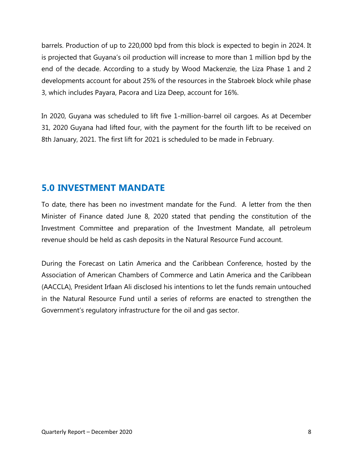barrels. Production of up to 220,000 bpd from this block is expected to begin in 2024. It is projected that Guyana's oil production will increase to more than 1 million bpd by the end of the decade. According to a study by Wood Mackenzie, the Liza Phase 1 and 2 developments account for about 25% of the resources in the Stabroek block while phase 3, which includes Payara, Pacora and Liza Deep, account for 16%.

In 2020, Guyana was scheduled to lift five 1-million-barrel oil cargoes. As at December 31, 2020 Guyana had lifted four, with the payment for the fourth lift to be received on 8th January, 2021. The first lift for 2021 is scheduled to be made in February.

## **5.0 INVESTMENT MANDATE**

To date, there has been no investment mandate for the Fund. A letter from the then Minister of Finance dated June 8, 2020 stated that pending the constitution of the Investment Committee and preparation of the Investment Mandate, all petroleum revenue should be held as cash deposits in the Natural Resource Fund account.

During the Forecast on Latin America and the Caribbean Conference, hosted by the Association of American Chambers of Commerce and Latin America and the Caribbean (AACCLA), President Irfaan Ali disclosed his intentions to let the funds remain untouched in the Natural Resource Fund until a series of reforms are enacted to strengthen the Government's regulatory infrastructure for the oil and gas sector.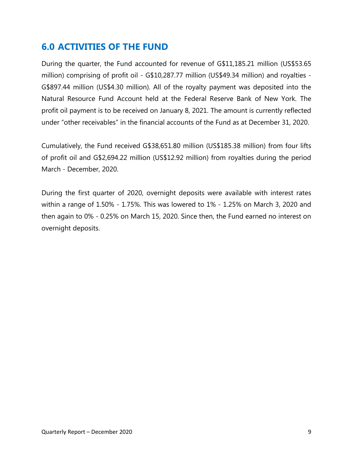#### **6.0 ACTIVITIES OF THE FUND**

During the quarter, the Fund accounted for revenue of G\$11,185.21 million (US\$53.65 million) comprising of profit oil - G\$10,287.77 million (US\$49.34 million) and royalties - G\$897.44 million (US\$4.30 million). All of the royalty payment was deposited into the Natural Resource Fund Account held at the Federal Reserve Bank of New York. The profit oil payment is to be received on January 8, 2021. The amount is currently reflected under "other receivables" in the financial accounts of the Fund as at December 31, 2020.

Cumulatively, the Fund received G\$38,651.80 million (US\$185.38 million) from four lifts of profit oil and G\$2,694.22 million (US\$12.92 million) from royalties during the period March - December, 2020.

During the first quarter of 2020, overnight deposits were available with interest rates within a range of 1.50% - 1.75%. This was lowered to 1% - 1.25% on March 3, 2020 and then again to 0% - 0.25% on March 15, 2020. Since then, the Fund earned no interest on overnight deposits.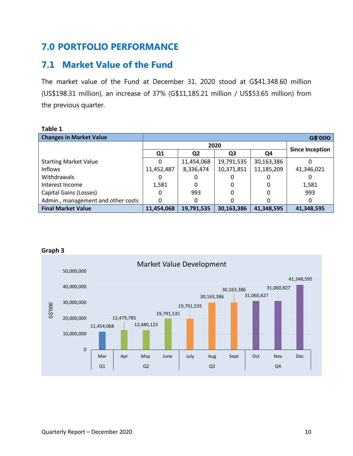## **7.0 PORTFOLIO PERFORMANCE**

## **7.1 Market Value of the Fund**

The market value of the Fund at December 31, 2020 stood at G\$41,348.60 million (US\$198.31 million), an increase of 37% (G\$11,185.21 million / US\$53.65 million) from the previous quarter.

| I ANIC 1                                  |                |                |                |            |                        |  |
|-------------------------------------------|----------------|----------------|----------------|------------|------------------------|--|
| <b>Changes in Market Value</b><br>G\$'000 |                |                |                |            |                        |  |
|                                           | 2020           |                |                |            |                        |  |
|                                           | Q <sub>1</sub> | Q <sub>2</sub> | Q <sub>3</sub> | Q4         | <b>Since Inception</b> |  |
| <b>Starting Market Value</b>              | O              | 11,454,068     | 19,791,535     | 30,163,386 |                        |  |
| <b>Inflows</b>                            | 11,452,487     | 8,336,474      | 10,371,851     | 11,185,209 | 41,346,021             |  |
| Withdrawals                               |                |                |                |            |                        |  |
| Interest Income                           | 1,581          |                |                |            | 1,581                  |  |
| Capital Gains (Losses)                    | 0              | 993            |                |            | 993                    |  |
| Admin., management and other costs        | 0              |                |                |            |                        |  |
| <b>Final Market Value</b>                 | 11,454,068     | 19,791,535     | 30,163,386     | 41,348,595 | 41,348,595             |  |

#### **Table 1**



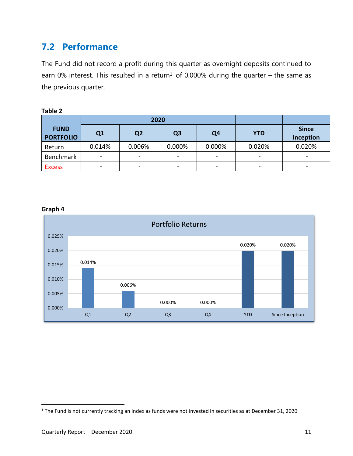## **7.2 Performance**

The Fund did not record a profit during this quarter as overnight deposits continued to earn 0% interest. This resulted in a return<sup>1</sup> of 0.000% during the quarter – the same as the previous quarter.

| ı<br>O<br>1١. |   |  |
|---------------|---|--|
|               | × |  |

|                                 | 2020                     |                 |                |                          |                                                                                                       |                           |
|---------------------------------|--------------------------|-----------------|----------------|--------------------------|-------------------------------------------------------------------------------------------------------|---------------------------|
| <b>FUND</b><br><b>PORTFOLIO</b> | Q <sub>1</sub>           | Q <sub>2</sub>  | Q <sub>3</sub> | Q4                       | <b>YTD</b>                                                                                            | <b>Since</b><br>Inception |
| Return                          | 0.014%                   | 0.006%          | 0.000%         | 0.000%                   | 0.020%                                                                                                | 0.020%                    |
| Benchmark                       | $\overline{\phantom{a}}$ | $\blacksquare$  | $\blacksquare$ | $\overline{\phantom{a}}$ | $\overline{\phantom{a}}$                                                                              | $\,$                      |
| <b>Excess</b>                   | $\qquad \qquad$          | $\qquad \qquad$ | $\blacksquare$ | $\overline{\phantom{m}}$ | $\hskip1.6pt\hskip1.6pt\hskip1.6pt\hskip1.6pt\hskip1.6pt\hskip1.6pt\hskip1.6pt\hskip1.6pt\hskip1.6pt$ |                           |



#### **Graph 4**

 $\overline{\phantom{a}}$ 

<sup>&</sup>lt;sup>1</sup> The Fund is not currently tracking an index as funds were not invested in securities as at December 31, 2020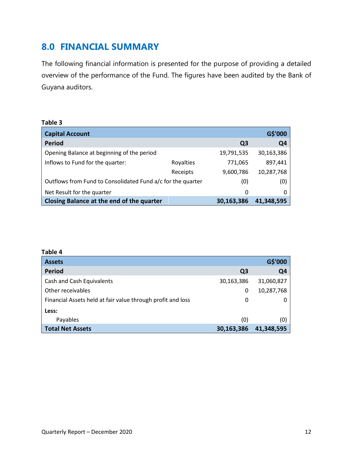#### **8.0 FINANCIAL SUMMARY**

The following financial information is presented for the purpose of providing a detailed overview of the performance of the Fund. The figures have been audited by the Bank of Guyana auditors.

#### **Table 3**

| <b>Capital Account</b>                                      |           |            | G\$'000        |
|-------------------------------------------------------------|-----------|------------|----------------|
| <b>Period</b>                                               |           | Q3         | Q <sub>4</sub> |
| Opening Balance at beginning of the period                  |           | 19,791,535 | 30,163,386     |
| Inflows to Fund for the quarter:                            | Royalties | 771,065    | 897,441        |
|                                                             | Receipts  | 9,600,786  | 10,287,768     |
| Outflows from Fund to Consolidated Fund a/c for the quarter |           | (0)        | (0)            |
| Net Result for the quarter                                  |           | 0          | 0              |
| Closing Balance at the end of the quarter                   |           | 30,163,386 | 41,348,595     |

| Table 4                                                     |                |                |
|-------------------------------------------------------------|----------------|----------------|
| <b>Assets</b>                                               |                | G\$'000        |
| Period                                                      | Q <sub>3</sub> | Q <sub>4</sub> |
| Cash and Cash Equivalents                                   | 30,163,386     | 31,060,827     |
| Other receivables                                           | 0              | 10,287,768     |
| Financial Assets held at fair value through profit and loss | 0              | O              |
| Less:                                                       |                |                |
| Payables                                                    | (0)            | (0)            |
| <b>Total Net Assets</b>                                     | 30,163,386     | 41,348,595     |